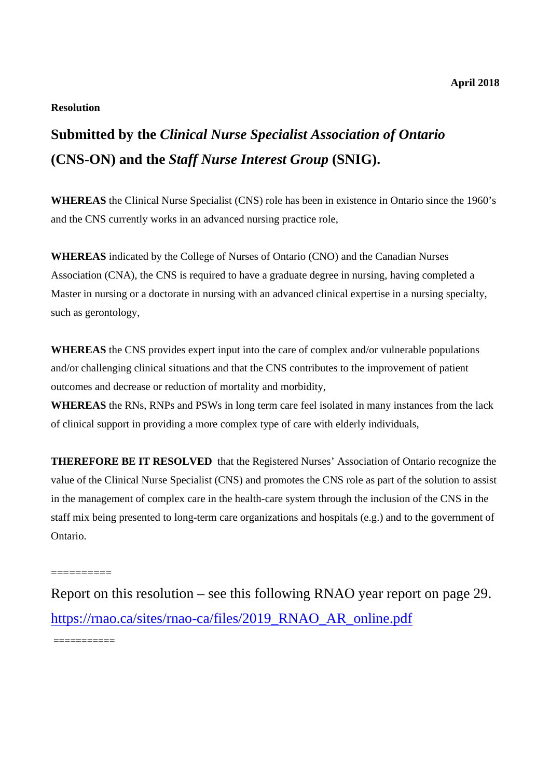## **Resolution**

# **Submitted by the** *Clinical Nurse Specialist Association of Ontario*  **(CNS-ON) and the** *Staff Nurse Interest Group* **(SNIG).**

**WHEREAS** the Clinical Nurse Specialist (CNS) role has been in existence in Ontario since the 1960's and the CNS currently works in an advanced nursing practice role,

**WHEREAS** indicated by the College of Nurses of Ontario (CNO) and the Canadian Nurses Association (CNA), the CNS is required to have a graduate degree in nursing, having completed a Master in nursing or a doctorate in nursing with an advanced clinical expertise in a nursing specialty, such as gerontology,

**WHEREAS** the CNS provides expert input into the care of complex and/or vulnerable populations and/or challenging clinical situations and that the CNS contributes to the improvement of patient outcomes and decrease or reduction of mortality and morbidity,

**WHEREAS** the RNs, RNPs and PSWs in long term care feel isolated in many instances from the lack of clinical support in providing a more complex type of care with elderly individuals,

**THEREFORE BE IT RESOLVED** that the Registered Nurses' Association of Ontario recognize the value of the Clinical Nurse Specialist (CNS) and promotes the CNS role as part of the solution to assist in the management of complex care in the health-care system through the inclusion of the CNS in the staff mix being presented to long-term care organizations and hospitals (e.g.) and to the government of Ontario.

Report on this resolution – see this following RNAO year report on page 29. https://rnao.ca/sites/rnao-ca/files/2019\_RNAO\_AR\_online.pdf

===========

==========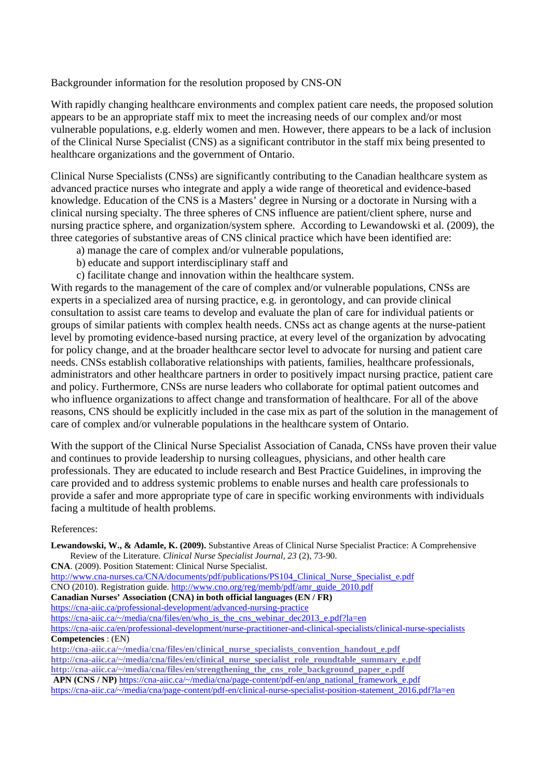## Backgrounder information for the resolution proposed by CNS-ON

With rapidly changing healthcare environments and complex patient care needs, the proposed solution appears to be an appropriate staff mix to meet the increasing needs of our complex and/or most vulnerable populations, e.g. elderly women and men. However, there appears to be a lack of inclusion of the Clinical Nurse Specialist (CNS) as a significant contributor in the staff mix being presented to healthcare organizations and the government of Ontario.

Clinical Nurse Specialists (CNSs) are significantly contributing to the Canadian healthcare system as advanced practice nurses who integrate and apply a wide range of theoretical and evidence-based knowledge. Education of the CNS is a Masters' degree in Nursing or a doctorate in Nursing with a clinical nursing specialty. The three spheres of CNS influence are patient/client sphere, nurse and nursing practice sphere, and organization/system sphere. According to Lewandowski et al. (2009), the three categories of substantive areas of CNS clinical practice which have been identified are:

- a) manage the care of complex and/or vulnerable populations,
- b) educate and support interdisciplinary staff and
- c) facilitate change and innovation within the healthcare system.

With regards to the management of the care of complex and/or vulnerable populations, CNSs are experts in a specialized area of nursing practice, e.g. in gerontology, and can provide clinical consultation to assist care teams to develop and evaluate the plan of care for individual patients or groups of similar patients with complex health needs. CNSs act as change agents at the nurse-patient level by promoting evidence-based nursing practice, at every level of the organization by advocating for policy change, and at the broader healthcare sector level to advocate for nursing and patient care needs. CNSs establish collaborative relationships with patients, families, healthcare professionals, administrators and other healthcare partners in order to positively impact nursing practice, patient care and policy. Furthermore, CNSs are nurse leaders who collaborate for optimal patient outcomes and who influence organizations to affect change and transformation of healthcare. For all of the above reasons, CNS should be explicitly included in the case mix as part of the solution in the management of care of complex and/or vulnerable populations in the healthcare system of Ontario.

With the support of the Clinical Nurse Specialist Association of Canada, CNSs have proven their value and continues to provide leadership to nursing colleagues, physicians, and other health care professionals. They are educated to include research and Best Practice Guidelines, in improving the care provided and to address systemic problems to enable nurses and health care professionals to provide a safer and more appropriate type of care in specific working environments with individuals facing a multitude of health problems.

#### References:

**Lewandowski, W., & Adamle, K. (2009).** Substantive Areas of Clinical Nurse Specialist Practice: A Comprehensive Review of the Literature. *Clinical Nurse Specialist Journal, 23* (2), 73-90. **CNA**. (2009). Position Statement: Clinical Nurse Specialist. http://www.cna-nurses.ca/CNA/documents/pdf/publications/PS104\_Clinical\_Nurse\_Specialist\_e.pdf CNO (2010). Registration guide. http://www.cno.org/reg/memb/pdf/amr\_guide\_2010.pdf **Canadian Nurses' Association (CNA) in both official languages (EN / FR)**  https://cna-aiic.ca/professional-development/advanced-nursing-practice https://cna-aiic.ca/~/media/cna/files/en/who\_is\_the\_cns\_webinar\_dec2013\_e.pdf?la=en https://cna-aiic.ca/en/professional-development/nurse-practitioner-and-clinical-specialists/clinical-nurse-specialists **Competencies** : (EN) **http://cna-aiic.ca/~/media/cna/files/en/clinical\_nurse\_specialists\_convention\_handout\_e.pdf http://cna-aiic.ca/~/media/cna/files/en/clinical\_nurse\_specialist\_role\_roundtable\_summary\_e.pdf http://cna-aiic.ca/~/media/cna/files/en/strengthening\_the\_cns\_role\_background\_paper\_e.pdf APN (CNS / NP)** https://cna-aiic.ca/~/media/cna/page-content/pdf-en/anp\_national\_framework\_e.pdf

https://cna-aiic.ca/~/media/cna/page-content/pdf-en/clinical-nurse-specialist-position-statement\_2016.pdf?la=en